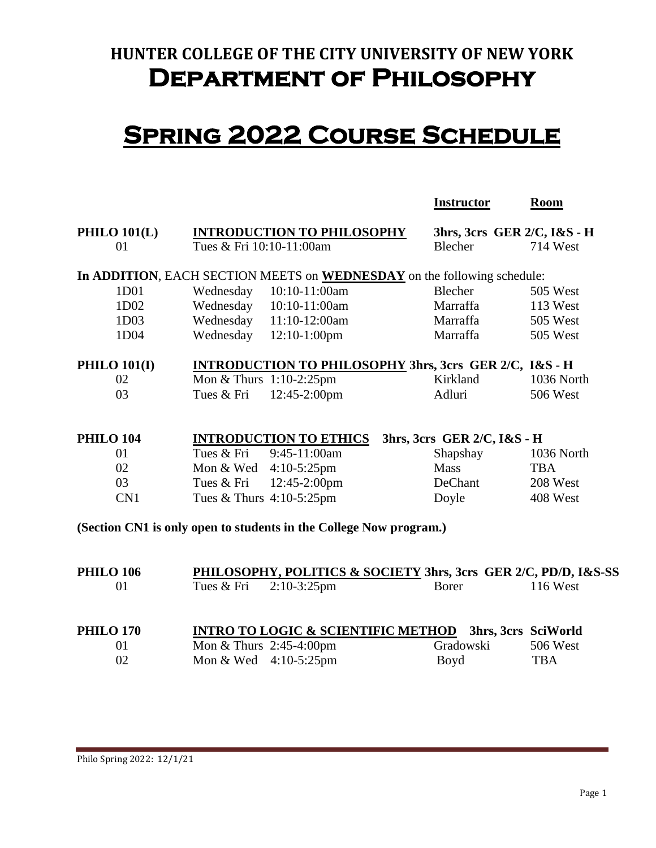## **HUNTER COLLEGE OF THE CITY UNIVERSITY OF NEW YORK Department of Philosophy**

## **Spring 2022 Course Schedule**

|                                                                    |                                                                         | <b>Instructor</b>           | <b>Room</b>         |  |  |  |
|--------------------------------------------------------------------|-------------------------------------------------------------------------|-----------------------------|---------------------|--|--|--|
| <b>PHILO 101(L)</b>                                                | <b>INTRODUCTION TO PHILOSOPHY</b>                                       | 3hrs, 3crs GER 2/C, I&S - H |                     |  |  |  |
| 01                                                                 | Tues & Fri 10:10-11:00am                                                | Blecher                     | 714 West            |  |  |  |
|                                                                    | In ADDITION, EACH SECTION MEETS on WEDNESDAY on the following schedule: |                             |                     |  |  |  |
| 1D01                                                               | Wednesday<br>10:10-11:00am                                              | Blecher                     | 505 West            |  |  |  |
| 1D02                                                               | Wednesday 10:10-11:00am                                                 | Marraffa                    | 113 West            |  |  |  |
| 1D03                                                               | Wednesday<br>$11:10-12:00am$                                            | Marraffa                    | 505 West            |  |  |  |
| 1D04                                                               | Wednesday<br>$12:10-1:00$ pm                                            | Marraffa                    | 505 West            |  |  |  |
| <b>PHILO 101(I)</b>                                                | <b>INTRODUCTION TO PHILOSOPHY 3hrs, 3crs GER 2/C, I&amp;S - H</b>       |                             |                     |  |  |  |
| 02                                                                 | Mon & Thurs 1:10-2:25pm                                                 | Kirkland                    | 1036 North          |  |  |  |
| 03                                                                 | Tues & Fri<br>12:45-2:00pm                                              | Adluri                      | <b>506 West</b>     |  |  |  |
|                                                                    |                                                                         |                             |                     |  |  |  |
| <b>PHILO 104</b>                                                   | <b>INTRODUCTION TO ETHICS</b>                                           | 3hrs, 3crs GER 2/C, I&S - H |                     |  |  |  |
| 01                                                                 | 9:45-11:00am<br>Tues & Fri                                              | Shapshay                    | 1036 North          |  |  |  |
| 02                                                                 | Mon & Wed 4:10-5:25pm                                                   | <b>Mass</b>                 | <b>TBA</b>          |  |  |  |
| 03                                                                 | 12:45-2:00pm<br>Tues & Fri                                              | DeChant                     | 208 West            |  |  |  |
| CN1                                                                | Tues & Thurs 4:10-5:25pm                                                | Doyle                       | 408 West            |  |  |  |
| (Section CN1 is only open to students in the College Now program.) |                                                                         |                             |                     |  |  |  |
| <b>PHILO 106</b>                                                   | PHILOSOPHY, POLITICS & SOCIETY 3hrs, 3crs GER 2/C, PD/D, I&S-SS         |                             |                     |  |  |  |
| 01                                                                 | Tues & Fri<br>$2:10-3:25$ pm                                            | <b>Borer</b>                | <b>116 West</b>     |  |  |  |
| <b>PHILO 170</b>                                                   | <b>INTRO TO LOGIC &amp; SCIENTIFIC METHOD</b>                           |                             | 3hrs, 3crs SciWorld |  |  |  |
| 01                                                                 | Mon & Thurs 2:45-4:00pm                                                 | Gradowski                   | 506 West            |  |  |  |

02 Mon & Wed 4:10-5:25pm Boyd TBA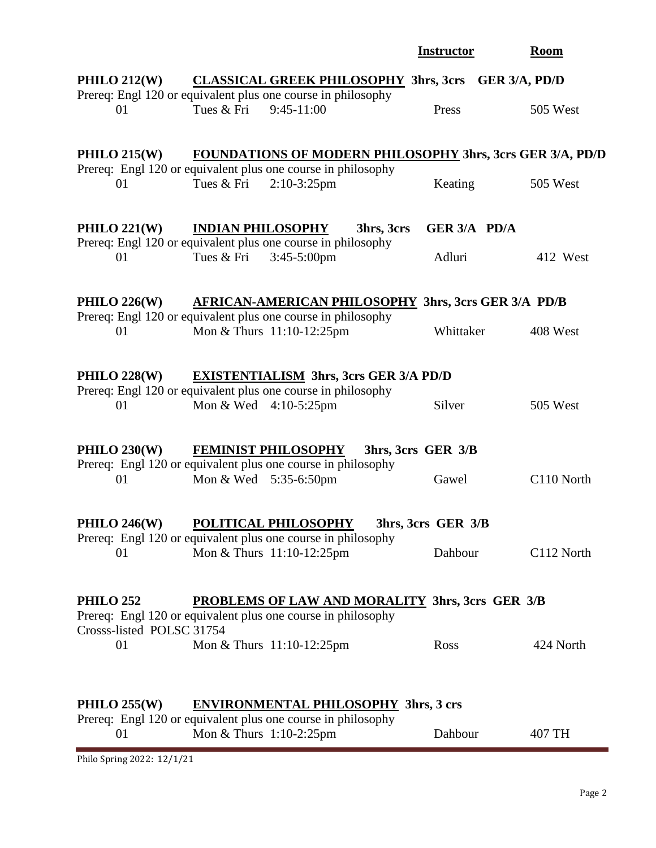|                                                                                                                               |                          |                                                                                                                                  | <b>Instructor</b>  | <b>Room</b> |  |
|-------------------------------------------------------------------------------------------------------------------------------|--------------------------|----------------------------------------------------------------------------------------------------------------------------------|--------------------|-------------|--|
| PHILO $212(W)$                                                                                                                |                          | CLASSICAL GREEK PHILOSOPHY 3hrs, 3crs GER 3/A, PD/D                                                                              |                    |             |  |
| 01                                                                                                                            | Tues & Fri               | Prereq: Engl 120 or equivalent plus one course in philosophy<br>$9:45-11:00$                                                     | Press              | 505 West    |  |
|                                                                                                                               |                          |                                                                                                                                  |                    |             |  |
|                                                                                                                               |                          |                                                                                                                                  |                    |             |  |
| PHILO $215(W)$                                                                                                                |                          | <b>FOUNDATIONS OF MODERN PHILOSOPHY 3hrs, 3crs GER 3/A, PD/D</b><br>Prereq: Engl 120 or equivalent plus one course in philosophy |                    |             |  |
| 01                                                                                                                            | Tues & Fri               | $2:10-3:25$ pm                                                                                                                   | Keating            | 505 West    |  |
|                                                                                                                               |                          |                                                                                                                                  |                    |             |  |
| PHILO $221(W)$                                                                                                                | <b>INDIAN PHILOSOPHY</b> | 3hrs, 3crs                                                                                                                       | GER 3/A PD/A       |             |  |
|                                                                                                                               |                          | Prereq: Engl 120 or equivalent plus one course in philosophy                                                                     |                    |             |  |
| 01                                                                                                                            | Tues & Fri               | 3:45-5:00pm                                                                                                                      | Adluri             | 412 West    |  |
|                                                                                                                               |                          |                                                                                                                                  |                    |             |  |
| PHILO $226(W)$                                                                                                                |                          | AFRICAN-AMERICAN PHILOSOPHY 3hrs, 3crs GER 3/A PD/B                                                                              |                    |             |  |
| 01                                                                                                                            |                          | Prereq: Engl 120 or equivalent plus one course in philosophy<br>Mon & Thurs 11:10-12:25pm                                        | Whittaker          | 408 West    |  |
|                                                                                                                               |                          |                                                                                                                                  |                    |             |  |
|                                                                                                                               |                          |                                                                                                                                  |                    |             |  |
| PHILO 228(W)                                                                                                                  |                          | <b>EXISTENTIALISM 3hrs, 3crs GER 3/A PD/D</b><br>Prereq: Engl 120 or equivalent plus one course in philosophy                    |                    |             |  |
| 01                                                                                                                            | Mon & Wed 4:10-5:25pm    |                                                                                                                                  | Silver             | 505 West    |  |
|                                                                                                                               |                          |                                                                                                                                  |                    |             |  |
| PHILO $230(W)$                                                                                                                |                          | <b>FEMINIST PHILOSOPHY</b>                                                                                                       | 3hrs, 3crs GER 3/B |             |  |
|                                                                                                                               |                          | Prereq: Engl 120 or equivalent plus one course in philosophy                                                                     |                    |             |  |
| 01                                                                                                                            | Mon & Wed 5:35-6:50pm    |                                                                                                                                  | Gawel              | C110 North  |  |
|                                                                                                                               |                          |                                                                                                                                  |                    |             |  |
| <b>PHILO 246(W)</b>                                                                                                           |                          | POLITICAL PHILOSOPHY                                                                                                             | 3hrs, 3crs GER 3/B |             |  |
| 01                                                                                                                            |                          | Prereq: Engl 120 or equivalent plus one course in philosophy<br>Mon & Thurs 11:10-12:25pm                                        | Dahbour            | C112 North  |  |
|                                                                                                                               |                          |                                                                                                                                  |                    |             |  |
|                                                                                                                               |                          |                                                                                                                                  |                    |             |  |
| <b>PHILO 252</b>                                                                                                              |                          | <b>PROBLEMS OF LAW AND MORALITY 3hrs, 3crs GER 3/B</b><br>Prereq: Engl 120 or equivalent plus one course in philosophy           |                    |             |  |
| Crosss-listed POLSC 31754                                                                                                     |                          |                                                                                                                                  |                    |             |  |
| 01                                                                                                                            |                          | Mon & Thurs 11:10-12:25pm                                                                                                        | Ross               | 424 North   |  |
|                                                                                                                               |                          |                                                                                                                                  |                    |             |  |
|                                                                                                                               |                          |                                                                                                                                  |                    |             |  |
| PHILO $255(W)$<br><b>ENVIRONMENTAL PHILOSOPHY 3hrs, 3 crs</b><br>Prereq: Engl 120 or equivalent plus one course in philosophy |                          |                                                                                                                                  |                    |             |  |
| 01                                                                                                                            | Mon & Thurs 1:10-2:25pm  |                                                                                                                                  | Dahbour            | 407 TH      |  |
| Philo Spring 2022: 12/1/21                                                                                                    |                          |                                                                                                                                  |                    |             |  |